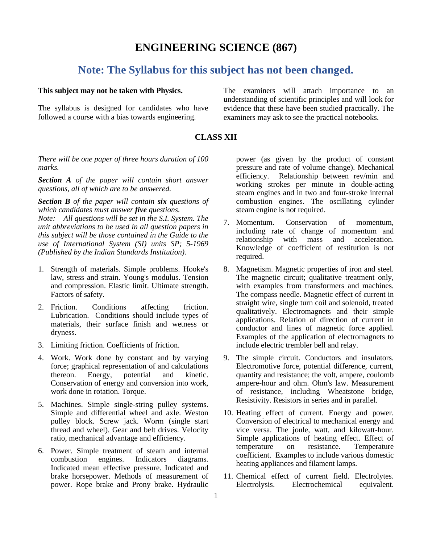## **ENGINEERING SCIENCE (867)**

## **Note: The Syllabus for this subject has not been changed.**

## **This subject may not be taken with Physics.**

The syllabus is designed for candidates who have followed a course with a bias towards engineering.

The examiners will attach importance to an understanding of scientific principles and will look for evidence that these have been studied practically. The examiners may ask to see the practical notebooks.

## **CLASS XII**

*There will be one paper of three hours duration of 100 marks.*

*Section A of the paper will contain short answer questions, all of which are to be answered.*

*Section B of the paper will contain six questions of which candidates must answer five questions.*

*Note: All questions will be set in the S.I. System. The unit abbreviations to be used in all question papers in this subject will be those contained in the Guide to the use of International System (SI) units SP; 5-1969 (Published by the Indian Standards Institution).* 

- 1. Strength of materials. Simple problems. Hooke's law, stress and strain. Young's modulus. Tension and compression. Elastic limit. Ultimate strength. Factors of safety.
- 2. Friction. Conditions affecting friction. Lubrication. Conditions should include types of materials, their surface finish and wetness or dryness.
- 3. Limiting friction. Coefficients of friction.
- 4. Work. Work done by constant and by varying force; graphical representation of and calculations thereon. Energy, potential and kinetic. Conservation of energy and conversion into work, work done in rotation. Torque.
- 5. Machines. Simple single-string pulley systems. Simple and differential wheel and axle. Weston pulley block. Screw jack. Worm (single start thread and wheel). Gear and belt drives. Velocity ratio, mechanical advantage and efficiency.
- 6. Power. Simple treatment of steam and internal combustion engines. Indicators diagrams. Indicated mean effective pressure. Indicated and brake horsepower. Methods of measurement of power. Rope brake and Prony brake. Hydraulic

power (as given by the product of constant pressure and rate of volume change). Mechanical efficiency. Relationship between rev/min and working strokes per minute in double-acting steam engines and in two and four-stroke internal combustion engines. The oscillating cylinder steam engine is not required.

- 7. Momentum. Conservation of momentum, including rate of change of momentum and relationship with mass and acceleration. Knowledge of coefficient of restitution is not required.
- 8. Magnetism. Magnetic properties of iron and steel. The magnetic circuit; qualitative treatment only, with examples from transformers and machines. The compass needle. Magnetic effect of current in straight wire, single turn coil and solenoid, treated qualitatively. Electromagnets and their simple applications. Relation of direction of current in conductor and lines of magnetic force applied. Examples of the application of electromagnets to include electric trembler bell and relay.
- 9. The simple circuit. Conductors and insulators. Electromotive force, potential difference, current, quantity and resistance; the volt, ampere, coulomb ampere-hour and ohm. Ohm's law. Measurement of resistance, including Wheatstone bridge, Resistivity. Resistors in series and in parallel.
- 10. Heating effect of current. Energy and power. Conversion of electrical to mechanical energy and vice versa. The joule, watt, and kilowatt-hour. Simple applications of heating effect. Effect of<br>temperature on resistance. Temperature temperature on resistance. Temperature coefficient. Examples to include various domestic heating appliances and filament lamps.
- 11. Chemical effect of current field. Electrolytes. Electrolysis. Electrochemical equivalent.